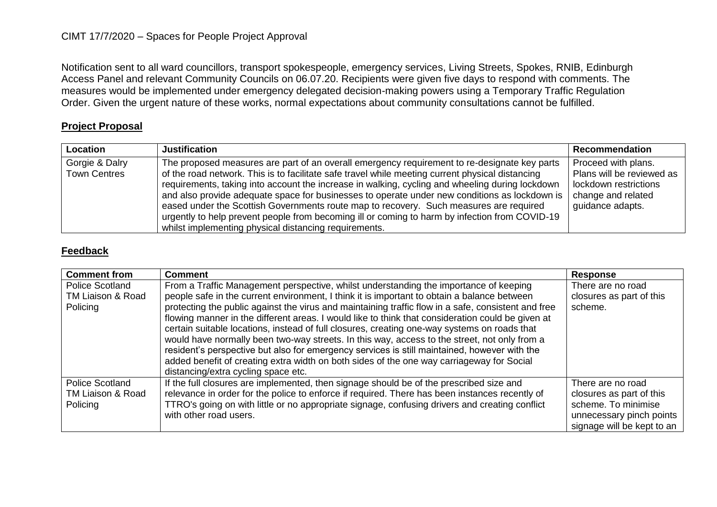## CIMT 17/7/2020 – Spaces for People Project Approval

Notification sent to all ward councillors, transport spokespeople, emergency services, Living Streets, Spokes, RNIB, Edinburgh Access Panel and relevant Community Councils on 06.07.20. Recipients were given five days to respond with comments. The measures would be implemented under emergency delegated decision-making powers using a Temporary Traffic Regulation Order. Given the urgent nature of these works, normal expectations about community consultations cannot be fulfilled.

## **Project Proposal**

| Location                              | <b>Justification</b>                                                                                                                                                                                                                                                                                                                                                                                                                                                                                                                                                                                                                                      | <b>Recommendation</b>                                                                                               |
|---------------------------------------|-----------------------------------------------------------------------------------------------------------------------------------------------------------------------------------------------------------------------------------------------------------------------------------------------------------------------------------------------------------------------------------------------------------------------------------------------------------------------------------------------------------------------------------------------------------------------------------------------------------------------------------------------------------|---------------------------------------------------------------------------------------------------------------------|
| Gorgie & Dalry<br><b>Town Centres</b> | The proposed measures are part of an overall emergency requirement to re-designate key parts<br>of the road network. This is to facilitate safe travel while meeting current physical distancing<br>requirements, taking into account the increase in walking, cycling and wheeling during lockdown<br>and also provide adequate space for businesses to operate under new conditions as lockdown is<br>eased under the Scottish Governments route map to recovery. Such measures are required<br>urgently to help prevent people from becoming ill or coming to harm by infection from COVID-19<br>whilst implementing physical distancing requirements. | Proceed with plans.<br>Plans will be reviewed as<br>lockdown restrictions<br>change and related<br>guidance adapts. |

## **Feedback**

| <b>Comment from</b>    | Comment                                                                                                                                                                                                                                                                                                                                                                                                                                                                                                                               | <b>Response</b>                                 |
|------------------------|---------------------------------------------------------------------------------------------------------------------------------------------------------------------------------------------------------------------------------------------------------------------------------------------------------------------------------------------------------------------------------------------------------------------------------------------------------------------------------------------------------------------------------------|-------------------------------------------------|
| <b>Police Scotland</b> | From a Traffic Management perspective, whilst understanding the importance of keeping                                                                                                                                                                                                                                                                                                                                                                                                                                                 | There are no road                               |
| TM Liaison & Road      | people safe in the current environment, I think it is important to obtain a balance between<br>protecting the public against the virus and maintaining traffic flow in a safe, consistent and free                                                                                                                                                                                                                                                                                                                                    | closures as part of this<br>scheme.             |
| Policing               | flowing manner in the different areas. I would like to think that consideration could be given at<br>certain suitable locations, instead of full closures, creating one-way systems on roads that<br>would have normally been two-way streets. In this way, access to the street, not only from a<br>resident's perspective but also for emergency services is still maintained, however with the<br>added benefit of creating extra width on both sides of the one way carriageway for Social<br>distancing/extra cycling space etc. |                                                 |
| <b>Police Scotland</b> | If the full closures are implemented, then signage should be of the prescribed size and                                                                                                                                                                                                                                                                                                                                                                                                                                               | There are no road                               |
| TM Liaison & Road      | relevance in order for the police to enforce if required. There has been instances recently of                                                                                                                                                                                                                                                                                                                                                                                                                                        | closures as part of this                        |
| Policing               | TTRO's going on with little or no appropriate signage, confusing drivers and creating conflict<br>with other road users.                                                                                                                                                                                                                                                                                                                                                                                                              | scheme. To minimise<br>unnecessary pinch points |
|                        |                                                                                                                                                                                                                                                                                                                                                                                                                                                                                                                                       | signage will be kept to an                      |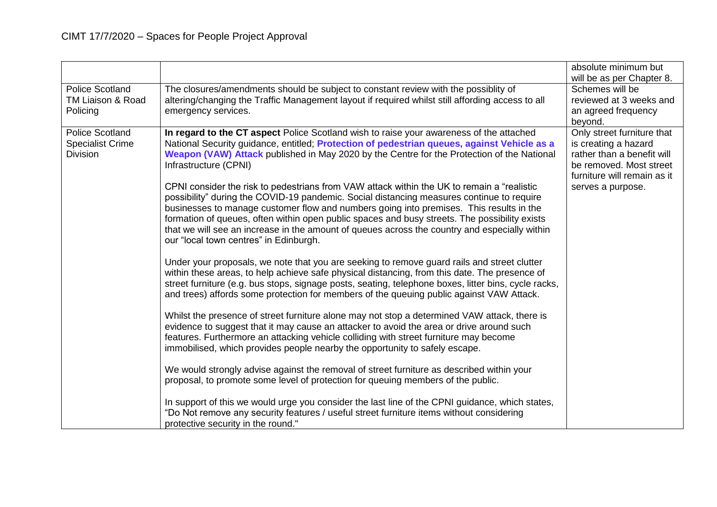|                                                               |                                                                                                                                                                                                                                                                                                                                                                                                                                                                                                                                                                                                                                                                                                                                                                                                                                                                                                                                                                                                                                                                                                                                                         | absolute minimum but<br>will be as per Chapter 8.                                                                                                               |
|---------------------------------------------------------------|---------------------------------------------------------------------------------------------------------------------------------------------------------------------------------------------------------------------------------------------------------------------------------------------------------------------------------------------------------------------------------------------------------------------------------------------------------------------------------------------------------------------------------------------------------------------------------------------------------------------------------------------------------------------------------------------------------------------------------------------------------------------------------------------------------------------------------------------------------------------------------------------------------------------------------------------------------------------------------------------------------------------------------------------------------------------------------------------------------------------------------------------------------|-----------------------------------------------------------------------------------------------------------------------------------------------------------------|
| <b>Police Scotland</b><br>TM Liaison & Road<br>Policing       | The closures/amendments should be subject to constant review with the possiblity of<br>altering/changing the Traffic Management layout if required whilst still affording access to all<br>emergency services.                                                                                                                                                                                                                                                                                                                                                                                                                                                                                                                                                                                                                                                                                                                                                                                                                                                                                                                                          | Schemes will be<br>reviewed at 3 weeks and<br>an agreed frequency<br>beyond.                                                                                    |
| <b>Police Scotland</b><br><b>Specialist Crime</b><br>Division | In regard to the CT aspect Police Scotland wish to raise your awareness of the attached<br>National Security guidance, entitled; Protection of pedestrian queues, against Vehicle as a<br>Weapon (VAW) Attack published in May 2020 by the Centre for the Protection of the National<br>Infrastructure (CPNI)<br>CPNI consider the risk to pedestrians from VAW attack within the UK to remain a "realistic<br>possibility" during the COVID-19 pandemic. Social distancing measures continue to require<br>businesses to manage customer flow and numbers going into premises. This results in the<br>formation of queues, often within open public spaces and busy streets. The possibility exists<br>that we will see an increase in the amount of queues across the country and especially within<br>our "local town centres" in Edinburgh.<br>Under your proposals, we note that you are seeking to remove guard rails and street clutter<br>within these areas, to help achieve safe physical distancing, from this date. The presence of<br>street furniture (e.g. bus stops, signage posts, seating, telephone boxes, litter bins, cycle racks, | Only street furniture that<br>is creating a hazard<br>rather than a benefit will<br>be removed. Most street<br>furniture will remain as it<br>serves a purpose. |
|                                                               | and trees) affords some protection for members of the queuing public against VAW Attack.<br>Whilst the presence of street furniture alone may not stop a determined VAW attack, there is<br>evidence to suggest that it may cause an attacker to avoid the area or drive around such<br>features. Furthermore an attacking vehicle colliding with street furniture may become<br>immobilised, which provides people nearby the opportunity to safely escape.<br>We would strongly advise against the removal of street furniture as described within your<br>proposal, to promote some level of protection for queuing members of the public.<br>In support of this we would urge you consider the last line of the CPNI guidance, which states,<br>"Do Not remove any security features / useful street furniture items without considering<br>protective security in the round."                                                                                                                                                                                                                                                                      |                                                                                                                                                                 |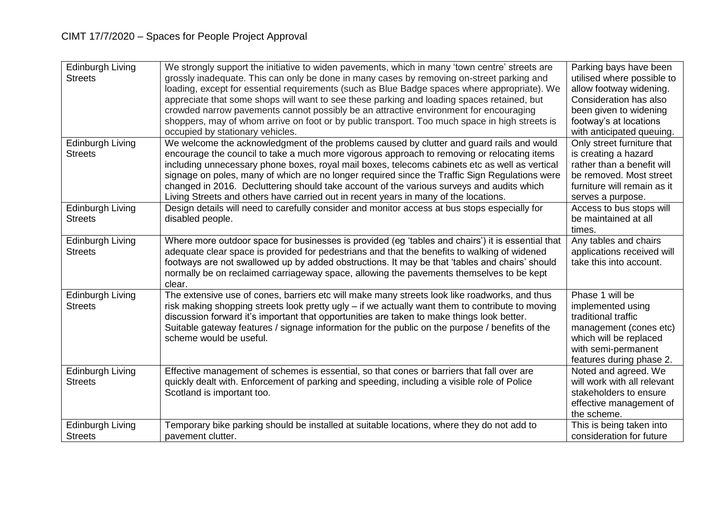| Edinburgh Living<br><b>Streets</b>        | We strongly support the initiative to widen pavements, which in many 'town centre' streets are<br>grossly inadequate. This can only be done in many cases by removing on-street parking and<br>loading, except for essential requirements (such as Blue Badge spaces where appropriate). We<br>appreciate that some shops will want to see these parking and loading spaces retained, but<br>crowded narrow pavements cannot possibly be an attractive environment for encouraging<br>shoppers, may of whom arrive on foot or by public transport. Too much space in high streets is<br>occupied by stationary vehicles. | Parking bays have been<br>utilised where possible to<br>allow footway widening.<br>Consideration has also<br>been given to widening<br>footway's at locations<br>with anticipated queuing. |
|-------------------------------------------|--------------------------------------------------------------------------------------------------------------------------------------------------------------------------------------------------------------------------------------------------------------------------------------------------------------------------------------------------------------------------------------------------------------------------------------------------------------------------------------------------------------------------------------------------------------------------------------------------------------------------|--------------------------------------------------------------------------------------------------------------------------------------------------------------------------------------------|
| Edinburgh Living<br><b>Streets</b>        | We welcome the acknowledgment of the problems caused by clutter and guard rails and would<br>encourage the council to take a much more vigorous approach to removing or relocating items<br>including unnecessary phone boxes, royal mail boxes, telecoms cabinets etc as well as vertical<br>signage on poles, many of which are no longer required since the Traffic Sign Regulations were<br>changed in 2016. Decluttering should take account of the various surveys and audits which<br>Living Streets and others have carried out in recent years in many of the locations.                                        | Only street furniture that<br>is creating a hazard<br>rather than a benefit will<br>be removed. Most street<br>furniture will remain as it<br>serves a purpose.                            |
| <b>Edinburgh Living</b><br><b>Streets</b> | Design details will need to carefully consider and monitor access at bus stops especially for<br>disabled people.                                                                                                                                                                                                                                                                                                                                                                                                                                                                                                        | Access to bus stops will<br>be maintained at all<br>times.                                                                                                                                 |
| Edinburgh Living<br><b>Streets</b>        | Where more outdoor space for businesses is provided (eg 'tables and chairs') it is essential that<br>adequate clear space is provided for pedestrians and that the benefits to walking of widened<br>footways are not swallowed up by added obstructions. It may be that 'tables and chairs' should<br>normally be on reclaimed carriageway space, allowing the pavements themselves to be kept<br>clear.                                                                                                                                                                                                                | Any tables and chairs<br>applications received will<br>take this into account.                                                                                                             |
| <b>Edinburgh Living</b><br><b>Streets</b> | The extensive use of cones, barriers etc will make many streets look like roadworks, and thus<br>risk making shopping streets look pretty ugly - if we actually want them to contribute to moving<br>discussion forward it's important that opportunities are taken to make things look better.<br>Suitable gateway features / signage information for the public on the purpose / benefits of the<br>scheme would be useful.                                                                                                                                                                                            | Phase 1 will be<br>implemented using<br>traditional traffic<br>management (cones etc)<br>which will be replaced<br>with semi-permanent<br>features during phase 2.                         |
| Edinburgh Living<br><b>Streets</b>        | Effective management of schemes is essential, so that cones or barriers that fall over are<br>quickly dealt with. Enforcement of parking and speeding, including a visible role of Police<br>Scotland is important too.                                                                                                                                                                                                                                                                                                                                                                                                  | Noted and agreed. We<br>will work with all relevant<br>stakeholders to ensure<br>effective management of<br>the scheme.                                                                    |
| Edinburgh Living<br><b>Streets</b>        | Temporary bike parking should be installed at suitable locations, where they do not add to<br>pavement clutter.                                                                                                                                                                                                                                                                                                                                                                                                                                                                                                          | This is being taken into<br>consideration for future                                                                                                                                       |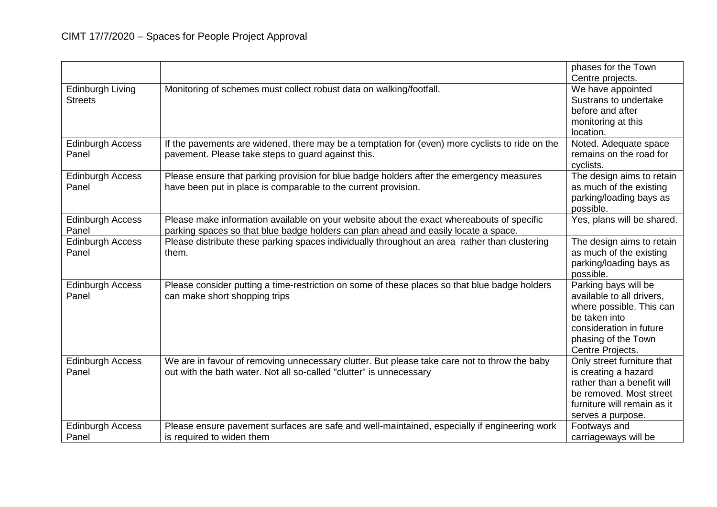|                                           |                                                                                                                                                                                  | phases for the Town<br>Centre projects.                                                                                                                              |
|-------------------------------------------|----------------------------------------------------------------------------------------------------------------------------------------------------------------------------------|----------------------------------------------------------------------------------------------------------------------------------------------------------------------|
| <b>Edinburgh Living</b><br><b>Streets</b> | Monitoring of schemes must collect robust data on walking/footfall.                                                                                                              | We have appointed<br>Sustrans to undertake<br>before and after<br>monitoring at this<br>location.                                                                    |
| <b>Edinburgh Access</b><br>Panel          | If the pavements are widened, there may be a temptation for (even) more cyclists to ride on the<br>pavement. Please take steps to guard against this.                            | Noted. Adequate space<br>remains on the road for<br>cyclists.                                                                                                        |
| <b>Edinburgh Access</b><br>Panel          | Please ensure that parking provision for blue badge holders after the emergency measures<br>have been put in place is comparable to the current provision.                       | The design aims to retain<br>as much of the existing<br>parking/loading bays as<br>possible.                                                                         |
| <b>Edinburgh Access</b><br>Panel          | Please make information available on your website about the exact whereabouts of specific<br>parking spaces so that blue badge holders can plan ahead and easily locate a space. | Yes, plans will be shared.                                                                                                                                           |
| <b>Edinburgh Access</b><br>Panel          | Please distribute these parking spaces individually throughout an area rather than clustering<br>them.                                                                           | The design aims to retain<br>as much of the existing<br>parking/loading bays as<br>possible.                                                                         |
| <b>Edinburgh Access</b><br>Panel          | Please consider putting a time-restriction on some of these places so that blue badge holders<br>can make short shopping trips                                                   | Parking bays will be<br>available to all drivers,<br>where possible. This can<br>be taken into<br>consideration in future<br>phasing of the Town<br>Centre Projects. |
| <b>Edinburgh Access</b><br>Panel          | We are in favour of removing unnecessary clutter. But please take care not to throw the baby<br>out with the bath water. Not all so-called "clutter" is unnecessary              | Only street furniture that<br>is creating a hazard<br>rather than a benefit will<br>be removed. Most street<br>furniture will remain as it<br>serves a purpose.      |
| <b>Edinburgh Access</b><br>Panel          | Please ensure pavement surfaces are safe and well-maintained, especially if engineering work<br>is required to widen them                                                        | Footways and<br>carriageways will be                                                                                                                                 |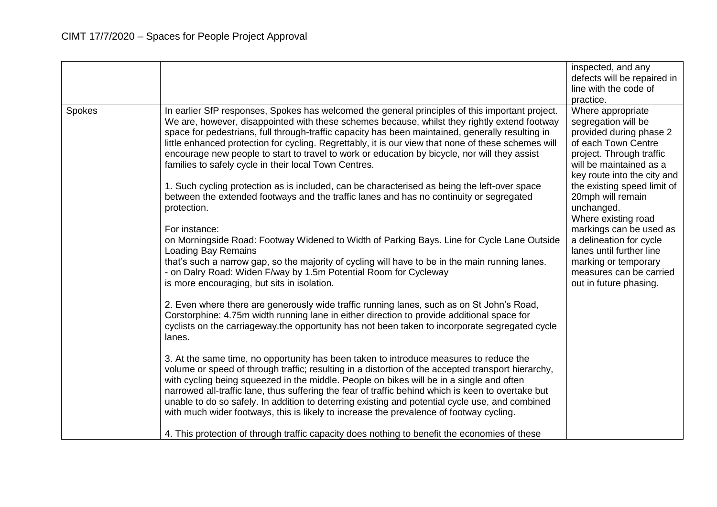|        |                                                                                                                                                                                                                                                                                                                                                                                                                                                                                                                                                                                                                                                                      | inspected, and any<br>defects will be repaired in<br>line with the code of                                                                                                                                                   |
|--------|----------------------------------------------------------------------------------------------------------------------------------------------------------------------------------------------------------------------------------------------------------------------------------------------------------------------------------------------------------------------------------------------------------------------------------------------------------------------------------------------------------------------------------------------------------------------------------------------------------------------------------------------------------------------|------------------------------------------------------------------------------------------------------------------------------------------------------------------------------------------------------------------------------|
| Spokes | In earlier SfP responses, Spokes has welcomed the general principles of this important project.<br>We are, however, disappointed with these schemes because, whilst they rightly extend footway<br>space for pedestrians, full through-traffic capacity has been maintained, generally resulting in<br>little enhanced protection for cycling. Regrettably, it is our view that none of these schemes will<br>encourage new people to start to travel to work or education by bicycle, nor will they assist<br>families to safely cycle in their local Town Centres.<br>1. Such cycling protection as is included, can be characterised as being the left-over space | practice.<br>Where appropriate<br>segregation will be<br>provided during phase 2<br>of each Town Centre<br>project. Through traffic<br>will be maintained as a<br>key route into the city and<br>the existing speed limit of |
|        | between the extended footways and the traffic lanes and has no continuity or segregated<br>protection.                                                                                                                                                                                                                                                                                                                                                                                                                                                                                                                                                               | 20mph will remain<br>unchanged.<br>Where existing road                                                                                                                                                                       |
|        | For instance:<br>on Morningside Road: Footway Widened to Width of Parking Bays. Line for Cycle Lane Outside<br><b>Loading Bay Remains</b><br>that's such a narrow gap, so the majority of cycling will have to be in the main running lanes.<br>- on Dalry Road: Widen F/way by 1.5m Potential Room for Cycleway<br>is more encouraging, but sits in isolation.                                                                                                                                                                                                                                                                                                      | markings can be used as<br>a delineation for cycle<br>lanes until further line<br>marking or temporary<br>measures can be carried<br>out in future phasing.                                                                  |
|        | 2. Even where there are generously wide traffic running lanes, such as on St John's Road,<br>Corstorphine: 4.75m width running lane in either direction to provide additional space for<br>cyclists on the carriageway the opportunity has not been taken to incorporate segregated cycle<br>lanes.                                                                                                                                                                                                                                                                                                                                                                  |                                                                                                                                                                                                                              |
|        | 3. At the same time, no opportunity has been taken to introduce measures to reduce the<br>volume or speed of through traffic; resulting in a distortion of the accepted transport hierarchy,<br>with cycling being squeezed in the middle. People on bikes will be in a single and often<br>narrowed all-traffic lane, thus suffering the fear of traffic behind which is keen to overtake but<br>unable to do so safely. In addition to deterring existing and potential cycle use, and combined<br>with much wider footways, this is likely to increase the prevalence of footway cycling.                                                                         |                                                                                                                                                                                                                              |
|        | 4. This protection of through traffic capacity does nothing to benefit the economies of these                                                                                                                                                                                                                                                                                                                                                                                                                                                                                                                                                                        |                                                                                                                                                                                                                              |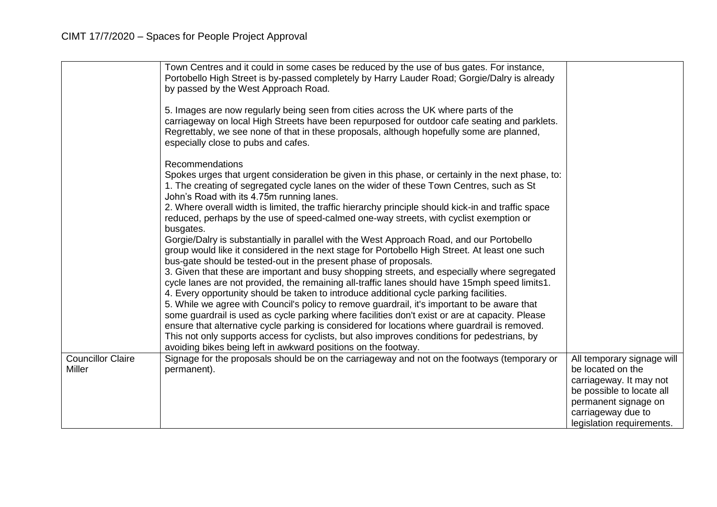|                                    | Town Centres and it could in some cases be reduced by the use of bus gates. For instance,<br>Portobello High Street is by-passed completely by Harry Lauder Road; Gorgie/Dalry is already<br>by passed by the West Approach Road.<br>5. Images are now regularly being seen from cities across the UK where parts of the<br>carriageway on local High Streets have been repurposed for outdoor cafe seating and parklets.<br>Regrettably, we see none of that in these proposals, although hopefully some are planned,<br>especially close to pubs and cafes.                                                                                                                                                                                                                                                                                                                                                                                                                                                                                                                                                                                                                                                                                                                                                                                          |                                                                                                                                                                                    |
|------------------------------------|--------------------------------------------------------------------------------------------------------------------------------------------------------------------------------------------------------------------------------------------------------------------------------------------------------------------------------------------------------------------------------------------------------------------------------------------------------------------------------------------------------------------------------------------------------------------------------------------------------------------------------------------------------------------------------------------------------------------------------------------------------------------------------------------------------------------------------------------------------------------------------------------------------------------------------------------------------------------------------------------------------------------------------------------------------------------------------------------------------------------------------------------------------------------------------------------------------------------------------------------------------------------------------------------------------------------------------------------------------|------------------------------------------------------------------------------------------------------------------------------------------------------------------------------------|
|                                    | <b>Recommendations</b><br>Spokes urges that urgent consideration be given in this phase, or certainly in the next phase, to:<br>1. The creating of segregated cycle lanes on the wider of these Town Centres, such as St<br>John's Road with its 4.75m running lanes.<br>2. Where overall width is limited, the traffic hierarchy principle should kick-in and traffic space<br>reduced, perhaps by the use of speed-calmed one-way streets, with cyclist exemption or<br>busgates.<br>Gorgie/Dalry is substantially in parallel with the West Approach Road, and our Portobello<br>group would like it considered in the next stage for Portobello High Street. At least one such<br>bus-gate should be tested-out in the present phase of proposals.<br>3. Given that these are important and busy shopping streets, and especially where segregated<br>cycle lanes are not provided, the remaining all-traffic lanes should have 15mph speed limits1.<br>4. Every opportunity should be taken to introduce additional cycle parking facilities.<br>5. While we agree with Council's policy to remove guardrail, it's important to be aware that<br>some guardrail is used as cycle parking where facilities don't exist or are at capacity. Please<br>ensure that alternative cycle parking is considered for locations where guardrail is removed. |                                                                                                                                                                                    |
|                                    | This not only supports access for cyclists, but also improves conditions for pedestrians, by<br>avoiding bikes being left in awkward positions on the footway.                                                                                                                                                                                                                                                                                                                                                                                                                                                                                                                                                                                                                                                                                                                                                                                                                                                                                                                                                                                                                                                                                                                                                                                         |                                                                                                                                                                                    |
| <b>Councillor Claire</b><br>Miller | Signage for the proposals should be on the carriageway and not on the footways (temporary or<br>permanent).                                                                                                                                                                                                                                                                                                                                                                                                                                                                                                                                                                                                                                                                                                                                                                                                                                                                                                                                                                                                                                                                                                                                                                                                                                            | All temporary signage will<br>be located on the<br>carriageway. It may not<br>be possible to locate all<br>permanent signage on<br>carriageway due to<br>legislation requirements. |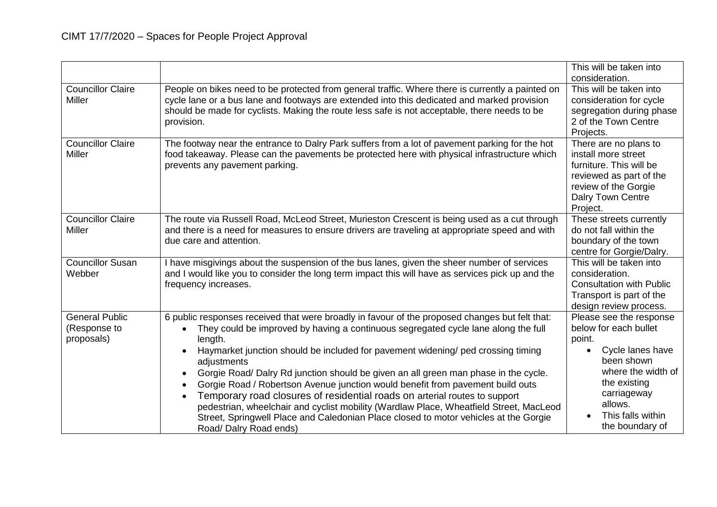|                                                     |                                                                                                                                                                                                                                                                                                                                                                                                                                                                                                                                                                                                                                                                                                                                                                      | This will be taken into<br>consideration.                                                                                                                                                            |
|-----------------------------------------------------|----------------------------------------------------------------------------------------------------------------------------------------------------------------------------------------------------------------------------------------------------------------------------------------------------------------------------------------------------------------------------------------------------------------------------------------------------------------------------------------------------------------------------------------------------------------------------------------------------------------------------------------------------------------------------------------------------------------------------------------------------------------------|------------------------------------------------------------------------------------------------------------------------------------------------------------------------------------------------------|
| <b>Councillor Claire</b><br>Miller                  | People on bikes need to be protected from general traffic. Where there is currently a painted on<br>cycle lane or a bus lane and footways are extended into this dedicated and marked provision<br>should be made for cyclists. Making the route less safe is not acceptable, there needs to be<br>provision.                                                                                                                                                                                                                                                                                                                                                                                                                                                        | This will be taken into<br>consideration for cycle<br>segregation during phase<br>2 of the Town Centre<br>Projects.                                                                                  |
| <b>Councillor Claire</b><br>Miller                  | The footway near the entrance to Dalry Park suffers from a lot of pavement parking for the hot<br>food takeaway. Please can the pavements be protected here with physical infrastructure which<br>prevents any pavement parking.                                                                                                                                                                                                                                                                                                                                                                                                                                                                                                                                     | There are no plans to<br>install more street<br>furniture. This will be<br>reviewed as part of the<br>review of the Gorgie<br>Dalry Town Centre<br>Project.                                          |
| <b>Councillor Claire</b><br>Miller                  | The route via Russell Road, McLeod Street, Murieston Crescent is being used as a cut through<br>and there is a need for measures to ensure drivers are traveling at appropriate speed and with<br>due care and attention.                                                                                                                                                                                                                                                                                                                                                                                                                                                                                                                                            | These streets currently<br>do not fall within the<br>boundary of the town<br>centre for Gorgie/Dalry.                                                                                                |
| <b>Councillor Susan</b><br>Webber                   | I have misgivings about the suspension of the bus lanes, given the sheer number of services<br>and I would like you to consider the long term impact this will have as services pick up and the<br>frequency increases.                                                                                                                                                                                                                                                                                                                                                                                                                                                                                                                                              | This will be taken into<br>consideration.<br><b>Consultation with Public</b><br>Transport is part of the<br>design review process.                                                                   |
| <b>General Public</b><br>(Response to<br>proposals) | 6 public responses received that were broadly in favour of the proposed changes but felt that:<br>They could be improved by having a continuous segregated cycle lane along the full<br>length.<br>Haymarket junction should be included for pavement widening/ ped crossing timing<br>adjustments<br>Gorgie Road/ Dalry Rd junction should be given an all green man phase in the cycle.<br>Gorgie Road / Robertson Avenue junction would benefit from pavement build outs<br>Temporary road closures of residential roads on arterial routes to support<br>pedestrian, wheelchair and cyclist mobility (Wardlaw Place, Wheatfield Street, MacLeod<br>Street, Springwell Place and Caledonian Place closed to motor vehicles at the Gorgie<br>Road/Dalry Road ends) | Please see the response<br>below for each bullet<br>point.<br>Cycle lanes have<br>been shown<br>where the width of<br>the existing<br>carriageway<br>allows.<br>This falls within<br>the boundary of |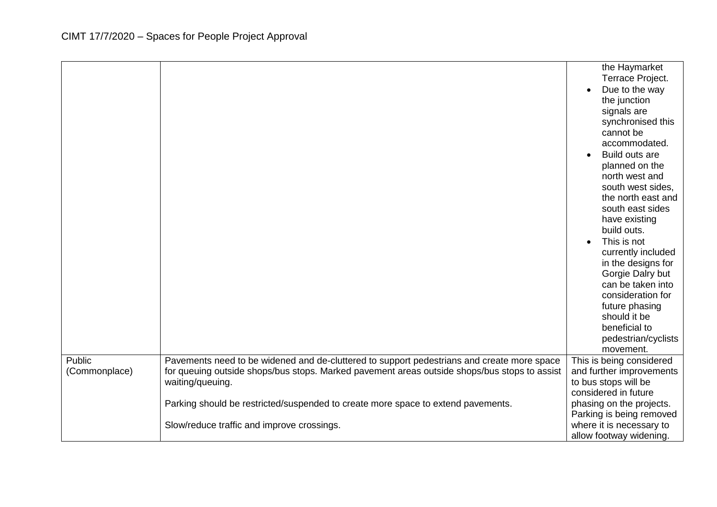|                         |                                                                                                                                                                                                                | the Haymarket<br>Terrace Project.<br>Due to the way<br>the junction<br>signals are<br>synchronised this<br>cannot be<br>accommodated.<br>Build outs are<br>planned on the<br>north west and<br>south west sides,<br>the north east and<br>south east sides<br>have existing<br>build outs.<br>This is not<br>currently included<br>in the designs for<br>Gorgie Dalry but<br>can be taken into<br>consideration for<br>future phasing<br>should it be<br>beneficial to<br>pedestrian/cyclists<br>movement. |
|-------------------------|----------------------------------------------------------------------------------------------------------------------------------------------------------------------------------------------------------------|------------------------------------------------------------------------------------------------------------------------------------------------------------------------------------------------------------------------------------------------------------------------------------------------------------------------------------------------------------------------------------------------------------------------------------------------------------------------------------------------------------|
| Public<br>(Commonplace) | Pavements need to be widened and de-cluttered to support pedestrians and create more space<br>for queuing outside shops/bus stops. Marked pavement areas outside shops/bus stops to assist<br>waiting/queuing. | This is being considered<br>and further improvements<br>to bus stops will be                                                                                                                                                                                                                                                                                                                                                                                                                               |
|                         |                                                                                                                                                                                                                | considered in future                                                                                                                                                                                                                                                                                                                                                                                                                                                                                       |
|                         | Parking should be restricted/suspended to create more space to extend pavements.                                                                                                                               | phasing on the projects.                                                                                                                                                                                                                                                                                                                                                                                                                                                                                   |
|                         |                                                                                                                                                                                                                | Parking is being removed                                                                                                                                                                                                                                                                                                                                                                                                                                                                                   |
|                         | Slow/reduce traffic and improve crossings.                                                                                                                                                                     | where it is necessary to                                                                                                                                                                                                                                                                                                                                                                                                                                                                                   |
|                         |                                                                                                                                                                                                                | allow footway widening.                                                                                                                                                                                                                                                                                                                                                                                                                                                                                    |